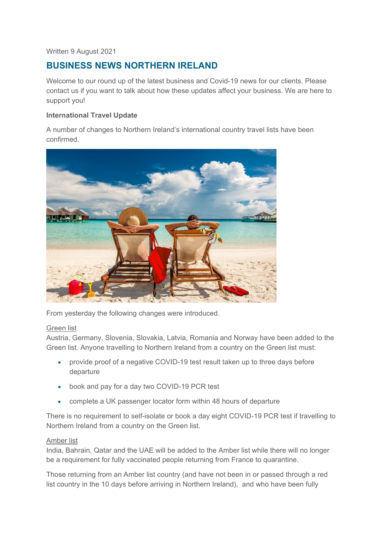# Written 9 August 2021

# **BUSINESS NEWS NORTHERN IRELAND**

Welcome to our round up of the latest business and Covid-19 news for our clients. Please contact us if you want to talk about how these updates affect your business. We are here to support you!

# **International Travel Update**

A number of changes to Northern Ireland's international country travel lists have been confirmed.



From yesterday the following changes were introduced.

#### Green list

Austria, Germany, Slovenia, Slovakia, Latvia, Romania and Norway have been added to the Green list. Anyone travelling to Northern Ireland from a country on the Green list must:

- provide proof of a negative COVID-19 test result taken up to three days before departure
- book and pay for a day two COVID-19 PCR test
- complete a UK passenger locator form within 48 hours of departure

There is no requirement to self-isolate or book a day eight COVID-19 PCR test if travelling to Northern Ireland from a country on the Green list.

# Amber list

India, Bahrain, Qatar and the UAE will be added to the Amber list while there will no longer be a requirement for fully vaccinated people returning from France to quarantine.

Those returning from an Amber list country (and have not been in or passed through a red list country in the 10 days before arriving in Northern Ireland), and who have been fully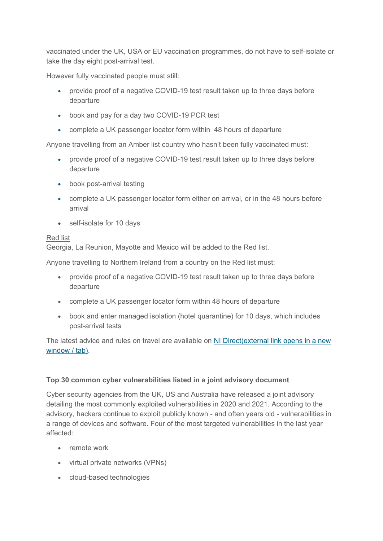vaccinated under the UK, USA or EU vaccination programmes, do not have to self-isolate or take the day eight post-arrival test.

However fully vaccinated people must still:

- provide proof of a negative COVID-19 test result taken up to three days before departure
- book and pay for a day two COVID-19 PCR test
- complete a UK passenger locator form within 48 hours of departure

Anyone travelling from an Amber list country who hasn't been fully vaccinated must:

- provide proof of a negative COVID-19 test result taken up to three days before departure
- book post-arrival testing
- complete a UK passenger locator form either on arrival, or in the 48 hours before arrival
- self-isolate for 10 days

#### Red list

Georgia, La Reunion, Mayotte and Mexico will be added to the Red list.

Anyone travelling to Northern Ireland from a country on the Red list must:

- provide proof of a negative COVID-19 test result taken up to three days before departure
- complete a UK passenger locator form within 48 hours of departure
- book and enter managed isolation (hotel quarantine) for 10 days, which includes post-arrival tests

The latest advice and rules on travel are available on NI Direct(external link opens in a new window / tab).

# **Top 30 common cyber vulnerabilities listed in a joint advisory document**

Cyber security agencies from the UK, US and Australia have released a joint advisory detailing the most commonly exploited vulnerabilities in 2020 and 2021. According to the advisory, hackers continue to exploit publicly known - and often years old - vulnerabilities in a range of devices and software. Four of the most targeted vulnerabilities in the last year affected:

- remote work
- virtual private networks (VPNs)
- cloud-based technologies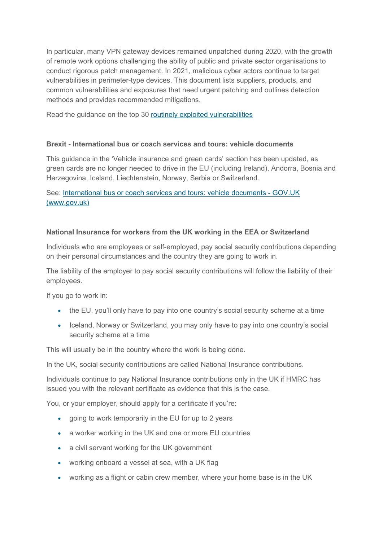In particular, many VPN gateway devices remained unpatched during 2020, with the growth of remote work options challenging the ability of public and private sector organisations to conduct rigorous patch management. In 2021, malicious cyber actors continue to target vulnerabilities in perimeter-type devices. This document lists suppliers, products, and common vulnerabilities and exposures that need urgent patching and outlines detection methods and provides recommended mitigations.

Read the guidance on the top 30 routinely exploited vulnerabilities

# **Brexit - International bus or coach services and tours: vehicle documents**

This guidance in the 'Vehicle insurance and green cards' section has been updated, as green cards are no longer needed to drive in the EU (including Ireland), Andorra, Bosnia and Herzegovina, Iceland, Liechtenstein, Norway, Serbia or Switzerland.

See: International bus or coach services and tours: vehicle documents - GOV.UK (www.gov.uk)

# **National Insurance for workers from the UK working in the EEA or Switzerland**

Individuals who are employees or self-employed, pay social security contributions depending on their personal circumstances and the country they are going to work in.

The liability of the employer to pay social security contributions will follow the liability of their employees.

If you go to work in:

- the EU, you'll only have to pay into one country's social security scheme at a time
- Iceland, Norway or Switzerland, you may only have to pay into one country's social security scheme at a time

This will usually be in the country where the work is being done.

In the UK, social security contributions are called National Insurance contributions.

Individuals continue to pay National Insurance contributions only in the UK if HMRC has issued you with the relevant certificate as evidence that this is the case.

You, or your employer, should apply for a certificate if you're:

- going to work temporarily in the EU for up to 2 years
- a worker working in the UK and one or more EU countries
- a civil servant working for the UK government
- working onboard a vessel at sea, with a UK flag
- working as a flight or cabin crew member, where your home base is in the UK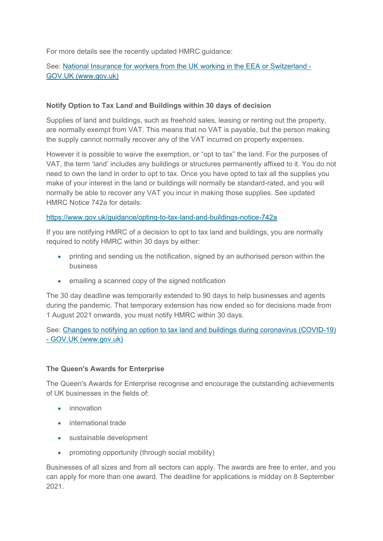For more details see the recently updated HMRC guidance:

# See: National Insurance for workers from the UK working in the EEA or Switzerland -GOV.UK (www.gov.uk)

# **Notify Option to Tax Land and Buildings within 30 days of decision**

Supplies of land and buildings, such as freehold sales, leasing or renting out the property, are normally exempt from VAT. This means that no VAT is payable, but the person making the supply cannot normally recover any of the VAT incurred on property expenses.

However it is possible to waive the exemption, or "opt to tax" the land. For the purposes of VAT, the term 'land' includes any buildings or structures permanently affixed to it. You do not need to own the land in order to opt to tax. Once you have opted to tax all the supplies you make of your interest in the land or buildings will normally be standard-rated, and you will normally be able to recover any VAT you incur in making those supplies. See updated HMRC Notice 742a for details:

#### https://www.gov.uk/guidance/opting-to-tax-land-and-buildings-notice-742a

If you are notifying HMRC of a decision to opt to tax land and buildings, you are normally required to notify HMRC within 30 days by either:

- printing and sending us the notification, signed by an authorised person within the business
- emailing a scanned copy of the signed notification

The 30 day deadline was temporarily extended to 90 days to help businesses and agents during the pandemic. That temporary extension has now ended so for decisions made from 1 August 2021 onwards, you must notify HMRC within 30 days.

See: Changes to notifying an option to tax land and buildings during coronavirus (COVID-19) - GOV.UK (www.gov.uk)

#### **The Queen's Awards for Enterprise**

The Queen's Awards for Enterprise recognise and encourage the outstanding achievements of UK businesses in the fields of:

- **•** innovation
- international trade
- sustainable development
- promoting opportunity (through social mobility)

Businesses of all sizes and from all sectors can apply. The awards are free to enter, and you can apply for more than one award. The deadline for applications is midday on 8 September 2021.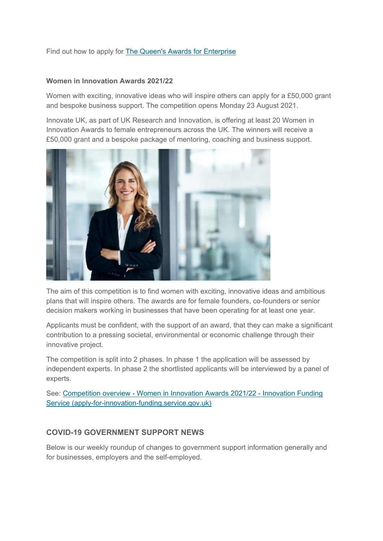Find out how to apply for The Queen's Awards for Enterprise

# **Women in Innovation Awards 2021/22**

Women with exciting, innovative ideas who will inspire others can apply for a £50,000 grant and bespoke business support. The competition opens Monday 23 August 2021.

Innovate UK, as part of UK Research and Innovation, is offering at least 20 Women in Innovation Awards to female entrepreneurs across the UK. The winners will receive a £50,000 grant and a bespoke package of mentoring, coaching and business support.



The aim of this competition is to find women with exciting, innovative ideas and ambitious plans that will inspire others. The awards are for female founders, co-founders or senior decision makers working in businesses that have been operating for at least one year.

Applicants must be confident, with the support of an award, that they can make a significant contribution to a pressing societal, environmental or economic challenge through their innovative project.

The competition is split into 2 phases. In phase 1 the application will be assessed by independent experts. In phase 2 the shortlisted applicants will be interviewed by a panel of experts.

See: Competition overview - Women in Innovation Awards 2021/22 - Innovation Funding Service (apply-for-innovation-funding.service.gov.uk)

# **COVID-19 GOVERNMENT SUPPORT NEWS**

Below is our weekly roundup of changes to government support information generally and for businesses, employers and the self-employed.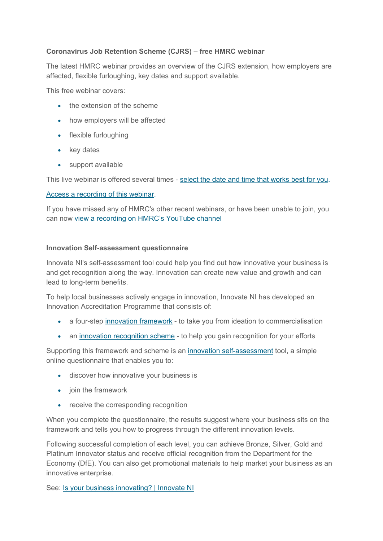# **Coronavirus Job Retention Scheme (CJRS) – free HMRC webinar**

The latest HMRC webinar provides an overview of the CJRS extension, how employers are affected, flexible furloughing, key dates and support available.

This free webinar covers:

- $\bullet$  the extension of the scheme
- how employers will be affected
- flexible furloughing
- key dates
- support available

This live webinar is offered several times - select the date and time that works best for you.

#### Access a recording of this webinar.

If you have missed any of HMRC's other recent webinars, or have been unable to join, you can now view a recording on HMRC's YouTube channel

# **Innovation Self-assessment questionnaire**

Innovate NI's self-assessment tool could help you find out how innovative your business is and get recognition along the way. Innovation can create new value and growth and can lead to long-term benefits.

To help local businesses actively engage in innovation, Innovate NI has developed an Innovation Accreditation Programme that consists of:

- a four-step innovation framework to take you from ideation to commercialisation
- an innovation recognition scheme to help you gain recognition for your efforts

Supporting this framework and scheme is an innovation self-assessment tool, a simple online questionnaire that enables you to:

- discover how innovative your business is
- join the framework
- receive the corresponding recognition

When you complete the questionnaire, the results suggest where your business sits on the framework and tells you how to progress through the different innovation levels.

Following successful completion of each level, you can achieve Bronze, Silver, Gold and Platinum Innovator status and receive official recognition from the Department for the Economy (DfE). You can also get promotional materials to help market your business as an innovative enterprise.

See: Is your business innovating? | Innovate NI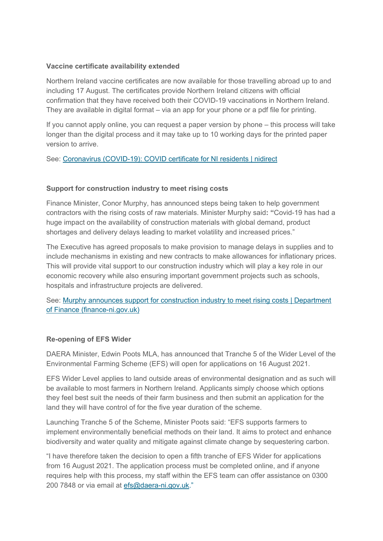# **Vaccine certificate availability extended**

Northern Ireland vaccine certificates are now available for those travelling abroad up to and including 17 August. The certificates provide Northern Ireland citizens with official confirmation that they have received both their COVID-19 vaccinations in Northern Ireland. They are available in digital format – via an app for your phone or a pdf file for printing.

If you cannot apply online, you can request a paper version by phone – this process will take longer than the digital process and it may take up to 10 working days for the printed paper version to arrive.

See: Coronavirus (COVID-19): COVID certificate for NI residents | nidirect

# **Support for construction industry to meet rising costs**

Finance Minister, Conor Murphy, has announced steps being taken to help government contractors with the rising costs of raw materials. Minister Murphy said**: "**Covid-19 has had a huge impact on the availability of construction materials with global demand, product shortages and delivery delays leading to market volatility and increased prices."

The Executive has agreed proposals to make provision to manage delays in supplies and to include mechanisms in existing and new contracts to make allowances for inflationary prices. This will provide vital support to our construction industry which will play a key role in our economic recovery while also ensuring important government projects such as schools, hospitals and infrastructure projects are delivered.

See: Murphy announces support for construction industry to meet rising costs | Department of Finance (finance-ni.gov.uk)

#### **Re-opening of EFS Wider**

DAERA Minister, Edwin Poots MLA, has announced that Tranche 5 of the Wider Level of the Environmental Farming Scheme (EFS) will open for applications on 16 August 2021.

EFS Wider Level applies to land outside areas of environmental designation and as such will be available to most farmers in Northern Ireland. Applicants simply choose which options they feel best suit the needs of their farm business and then submit an application for the land they will have control of for the five year duration of the scheme.

Launching Tranche 5 of the Scheme, Minister Poots said: "EFS supports farmers to implement environmentally beneficial methods on their land. It aims to protect and enhance biodiversity and water quality and mitigate against climate change by sequestering carbon.

"I have therefore taken the decision to open a fifth tranche of EFS Wider for applications from 16 August 2021. The application process must be completed online, and if anyone requires help with this process, my staff within the EFS team can offer assistance on 0300 200 7848 or via email at efs@daera-ni.gov.uk."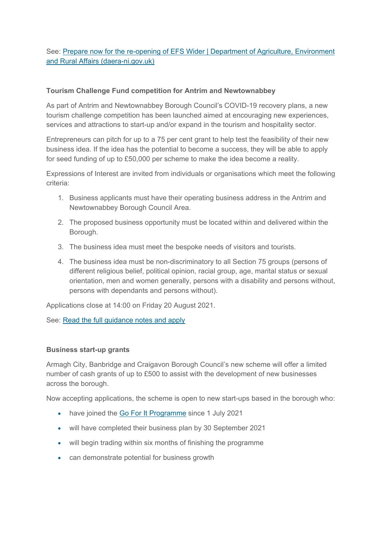See: Prepare now for the re-opening of EFS Wider | Department of Agriculture, Environment and Rural Affairs (daera-ni.gov.uk)

# **Tourism Challenge Fund competition for Antrim and Newtownabbey**

As part of Antrim and Newtownabbey Borough Council's COVID-19 recovery plans, a new tourism challenge competition has been launched aimed at encouraging new experiences, services and attractions to start-up and/or expand in the tourism and hospitality sector.

Entrepreneurs can pitch for up to a 75 per cent grant to help test the feasibility of their new business idea. If the idea has the potential to become a success, they will be able to apply for seed funding of up to £50,000 per scheme to make the idea become a reality.

Expressions of Interest are invited from individuals or organisations which meet the following criteria:

- 1. Business applicants must have their operating business address in the Antrim and Newtownabbey Borough Council Area.
- 2. The proposed business opportunity must be located within and delivered within the Borough.
- 3. The business idea must meet the bespoke needs of visitors and tourists.
- 4. The business idea must be non-discriminatory to all Section 75 groups (persons of different religious belief, political opinion, racial group, age, marital status or sexual orientation, men and women generally, persons with a disability and persons without, persons with dependants and persons without).

Applications close at 14:00 on Friday 20 August 2021.

See: Read the full guidance notes and apply

#### **Business start-up grants**

Armagh City, Banbridge and Craigavon Borough Council's new scheme will offer a limited number of cash grants of up to £500 to assist with the development of new businesses across the borough.

Now accepting applications, the scheme is open to new start-ups based in the borough who:

- have joined the Go For It Programme since 1 July 2021
- will have completed their business plan by 30 September 2021
- will begin trading within six months of finishing the programme
- can demonstrate potential for business growth